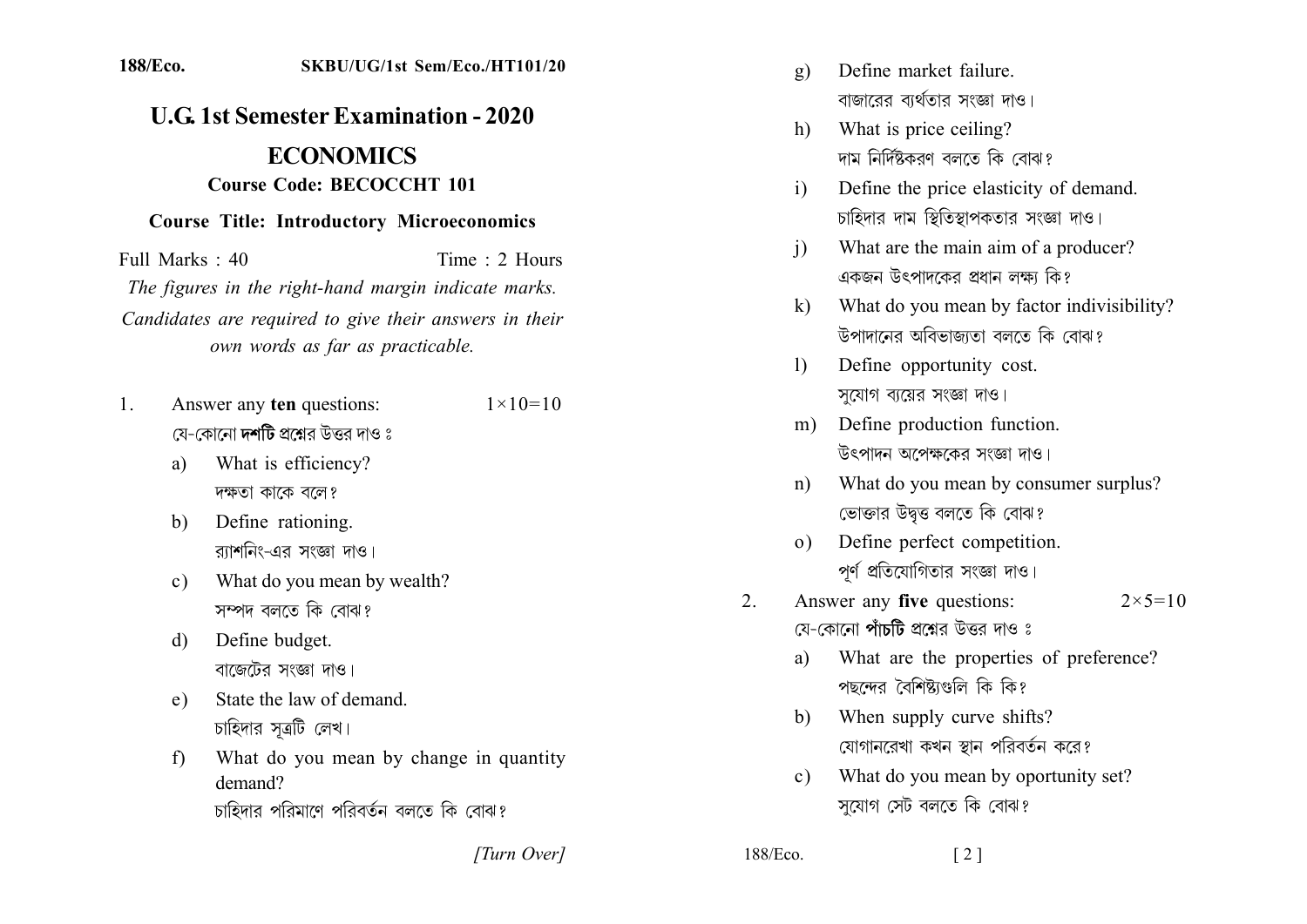## 188/Eco. SKBU/UG/1st Sem/Eco./HT101/20

## **U.G. 1st Semester Examination - 2020 ECONOMICS Course Code: BECOCCHT 101**

## **Course Title: Introductory Microeconomics**

Full Marks  $\cdot$  40 Time  $\cdot$  2 Hours The figures in the right-hand margin indicate marks. Candidates are required to give their answers in their own words as far as practicable.

- Answer any ten questions:  $1_{-}$  $1 \times 10 = 10$ য়ে-কোনো **দশটি** প্রশ্নের উত্তর দাও ঃ
	- What is efficiency? a) দক্ষতা কাকে বলে?
	- Define rationing.  $h)$ র্যাশনিং-এর সংজ্ঞা দাও।
	- What do you mean by wealth?  $c)$ সম্পদ বলতে কি বোঝ?
	- Define budget.  $d)$ বাজেটের সংজ্ঞা দাও।
	- State the law of demand  $e)$ চাহিদার সূত্রটি লেখ।
	- What do you mean by change in quantity  $f$ demand?
		- চাহিদার পরিমাণে পরিবর্তন বলতে কি বোঝ?

[Turn Over]

- Define market failure g) বাজারের ব্যর্থতার সংজ্ঞা দাও।
- What is price ceiling?  $h$ ) দাম নির্দিষ্টকরণ বলতে কি বোঝ?
- Define the price elasticity of demand.  $\mathbf{i}$ চাহিদার দাম স্থিতিস্থাপকতার সংজ্ঞা দাও।
- What are the main aim of a producer?  $\overline{1}$ একজন উৎপাদকের প্রধান লক্ষ্য কি?
- What do you mean by factor indivisibility?  $\mathbf{k}$ উপাদানের অবিভাজাতা বলতে কি বোঝ?
- Define opportunity cost.  $\mathbf{D}$ সযোগ ব্যয়ের সংজ্ঞা দাও।
- Define production function.  $m)$ উৎপাদন অপেক্ষকের সংজ্ঞা দাও।
- What do you mean by consumer surplus?  $n$ ) ভোক্তার উদ্বত্ত বলতে কি বোঝ?
- Define perfect competition.  $\Omega$ ) পর্ণ প্রতিযোগিতার সংজ্ঞা দাও।
- $2<sub>1</sub>$ Answer any five questions:  $2 \times 5 = 10$ যে-কোনো **পাঁচটি** প্রশ্নের উত্তর দাও ঃ
	- What are the properties of preference? a) পছন্দের বৈশিষ্ট্যগুলি কি কি?
	- When supply curve shifts?  $h$ যোগানরেখা কখন স্থান পরিবর্তন করে?
	- What do you mean by oportunity set?  $c$ ) সযোগ সেট বলতে কি বোঝ?

 $\lceil 2 \rceil$ 

| 188/Eco. |  |  |
|----------|--|--|
|----------|--|--|